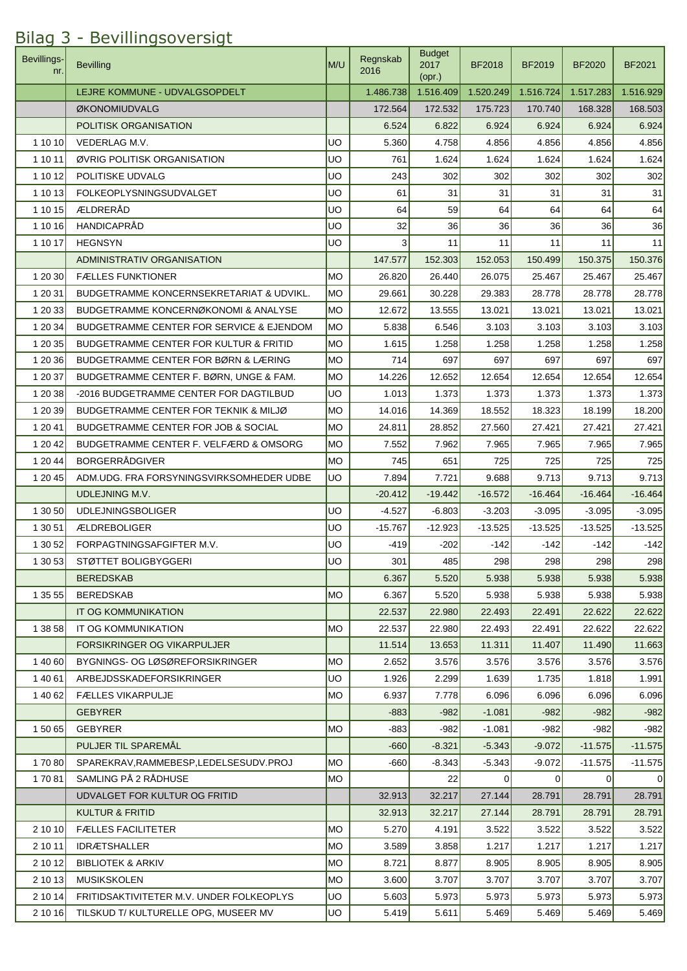| Bevillings-<br>nr. | <b>Bevilling</b>                                    | M/U        | Regnskab<br>2016 | <b>Budget</b><br>2017<br>$($ opr. $)$ | <b>BF2018</b>   | BF2019    | <b>BF2020</b>  | <b>BF2021</b> |
|--------------------|-----------------------------------------------------|------------|------------------|---------------------------------------|-----------------|-----------|----------------|---------------|
|                    | LEJRE KOMMUNE - UDVALGSOPDELT                       |            | 1.486.738        | 1.516.409                             | 1.520.249       | 1.516.724 | 1.517.283      | 1.516.929     |
|                    | ØKONOMIUDVALG                                       |            | 172.564          | 172.532                               | 175.723         | 170.740   | 168.328        | 168.503       |
|                    | POLITISK ORGANISATION                               |            | 6.524            | 6.822                                 | 6.924           | 6.924     | 6.924          | 6.924         |
| 1 10 10            | VEDERLAG M.V.                                       | UO         | 5.360            | 4.758                                 | 4.856           | 4.856     | 4.856          | 4.856         |
| 1 10 11            | ØVRIG POLITISK ORGANISATION                         | UO         | 761              | 1.624                                 | 1.624           | 1.624     | 1.624          | 1.624         |
| 1 10 12            | POLITISKE UDVALG                                    | <b>UO</b>  | 243              | 302                                   | 302             | 302       | 302            | 302           |
| 1 10 13            | <b>FOLKEOPLYSNINGSUDVALGET</b>                      | <b>UO</b>  | 61               | 31                                    | 31              | 31        | 31             | 31            |
| 1 10 15            | ÆLDRERÅD                                            | UO         | 64               | 59                                    | 64              | 64        | 64             | 64            |
| 1 10 16            | <b>HANDICAPRÅD</b>                                  | UO         | 32               | 36                                    | 36 <sup>°</sup> | 36        | 36             | 36            |
| 1 10 17            | <b>HEGNSYN</b>                                      | <b>UO</b>  | 3                | 11                                    | 11              | 11        | 11             | 11            |
|                    | <b>ADMINISTRATIV ORGANISATION</b>                   |            | 147.577          | 152.303                               | 152.053         | 150.499   | 150.375        | 150.376       |
| 1 20 30            | <b>FÆLLES FUNKTIONER</b>                            | <b>MO</b>  | 26.820           | 26.440                                | 26.075          | 25.467    | 25.467         | 25.467        |
| 1 20 31            | <b>BUDGETRAMME KONCERNSEKRETARIAT &amp; UDVIKL.</b> | MO         | 29.661           | 30.228                                | 29.383          | 28.778    | 28.778         | 28.778        |
| 1 20 33            | <b>BUDGETRAMME KONCERNØKONOMI &amp; ANALYSE</b>     | <b>MO</b>  | 12.672           | 13.555                                | 13.021          | 13.021    | 13.021         | 13.021        |
| 1 20 34            | <b>BUDGETRAMME CENTER FOR SERVICE &amp; EJENDOM</b> | <b>MO</b>  | 5.838            | 6.546                                 | 3.103           | 3.103     | 3.103          | 3.103         |
| 1 20 35            | <b>BUDGETRAMME CENTER FOR KULTUR &amp; FRITID</b>   | <b>MO</b>  | 1.615            | 1.258                                 | 1.258           | 1.258     | 1.258          | 1.258         |
| 1 20 36            | BUDGETRAMME CENTER FOR BØRN & LÆRING                | <b>MO</b>  | 714              | 697                                   | 697             | 697       | 697            | 697           |
| 1 20 37            | BUDGETRAMME CENTER F. BØRN, UNGE & FAM.             | <b>MO</b>  | 14.226           | 12.652                                | 12.654          | 12.654    | 12.654         | 12.654        |
| 1 20 38            | -2016 BUDGETRAMME CENTER FOR DAGTILBUD              | <b>UO</b>  | 1.013            | 1.373                                 | 1.373           | 1.373     | 1.373          | 1.373         |
| 1 20 39            | BUDGETRAMME CENTER FOR TEKNIK & MILJØ               | <b>MO</b>  | 14.016           | 14.369                                | 18.552          | 18.323    | 18.199         | 18.200        |
| 1 20 41            | <b>BUDGETRAMME CENTER FOR JOB &amp; SOCIAL</b>      | <b>IMO</b> | 24.811           | 28.852                                | 27.560          | 27.421    | 27.421         | 27.421        |
| 1 20 42            | BUDGETRAMME CENTER F. VELFÆRD & OMSORG              | <b>MO</b>  | 7.552            | 7.962                                 | 7.965           | 7.965     | 7.965          | 7.965         |
| 1 20 44            | <b>BORGERRÅDGIVER</b>                               | MO         | 745              | 651                                   | 725             | 725       | 725            | 725           |
| 1 20 45            | ADM.UDG. FRA FORSYNINGSVIRKSOMHEDER UDBE            | UO.        | 7.894            | 7.721                                 | 9.688           | 9.713     | 9.713          | 9.713         |
|                    | <b>UDLEJNING M.V.</b>                               |            | $-20.412$        | $-19.442$                             | $-16.572$       | $-16.464$ | $-16.464$      | $-16.464$     |
| 1 30 50            | <b>UDLEJNINGSBOLIGER</b>                            | <b>UO</b>  | $-4.527$         | $-6.803$                              | $-3.203$        | $-3.095$  | $-3.095$       | $-3.095$      |
| 1 30 51            | <b>ÆLDREBOLIGER</b>                                 | UO         | $-15.767$        | $-12.923$                             | $-13.525$       | $-13.525$ | $-13.525$      | $-13.525$     |
| 1 30 52            | FORPAGTNINGSAFGIFTER M.V.                           | UO         | $-419$           | $-202$                                | $-142$          | $-142$    | $-142$         | $-142$        |
| 1 30 53            | STØTTET BOLIGBYGGERI                                | luo        | 301              | 485                                   | 298             | 298       | 298            | 298           |
|                    | <b>BEREDSKAB</b>                                    |            | 6.367            | 5.520                                 | 5.938           | 5.938     | 5.938          | 5.938         |
| 1 35 55            | <b>BEREDSKAB</b>                                    | <b>MO</b>  | 6.367            | 5.520                                 | 5.938           | 5.938     | 5.938          | 5.938         |
|                    | IT OG KOMMUNIKATION                                 |            | 22.537           | 22.980                                | 22.493          | 22.491    | 22.622         | 22.622        |
| 1 38 58            | IT OG KOMMUNIKATION                                 | <b>MO</b>  | 22.537           | 22.980                                | 22.493          | 22.491    | 22.622         | 22.622        |
|                    | FORSIKRINGER OG VIKARPULJER                         |            | 11.514           | 13.653                                | 11.311          | 11.407    | 11.490         | 11.663        |
| 1 40 60            | BYGNINGS- OG LØSØREFORSIKRINGER                     | МO         | 2.652            | 3.576                                 | 3.576           | 3.576     | 3.576          | 3.576         |
| 1 40 61            | ARBEJDSSKADEFORSIKRINGER                            | <b>UO</b>  | 1.926            | 2.299                                 | 1.639           | 1.735     | 1.818          | 1.991         |
| 1 40 62            | <b>FÆLLES VIKARPULJE</b>                            | <b>MO</b>  | 6.937            | 7.778                                 | 6.096           | 6.096     | 6.096          | 6.096         |
|                    | <b>GEBYRER</b>                                      |            | $-883$           | $-982$                                | $-1.081$        | $-982$    | $-982$         | $-982$        |
| 1 50 65            | <b>GEBYRER</b>                                      | <b>MO</b>  | $-883$           | $-982$                                | $-1.081$        | $-982$    | $-982$         | $-982$        |
|                    | PULJER TIL SPAREMÅL                                 |            | $-660$           | $-8.321$                              | $-5.343$        | $-9.072$  | $-11.575$      | $-11.575$     |
| 17080              | SPAREKRAV, RAMMEBESP, LEDELSESUDV. PROJ             | МO         | -660             | $-8.343$                              | $-5.343$        | $-9.072$  | $-11.575$      | $-11.575$     |
| 17081              | SAMLING PÅ 2 RÅDHUSE                                | MO         |                  | 22                                    | $\Omega$        | 0         | $\overline{0}$ | $\Omega$      |
|                    | UDVALGET FOR KULTUR OG FRITID                       |            | 32.913           | 32.217                                | 27.144          | 28.791    | 28.791         | 28.791        |
|                    | <b>KULTUR &amp; FRITID</b>                          |            | 32.913           | 32.217                                | 27.144          | 28.791    | 28.791         | 28.791        |
| 2 10 10            | <b>FÆLLES FACILITETER</b>                           | <b>MO</b>  | 5.270            | 4.191                                 | 3.522           | 3.522     | 3.522          | 3.522         |
| 2 10 11            | <b>IDRÆTSHALLER</b>                                 | <b>MO</b>  | 3.589            | 3.858                                 | 1.217           | 1.217     | 1.217          | 1.217         |
| 2 10 12            | <b>BIBLIOTEK &amp; ARKIV</b>                        | <b>MO</b>  | 8.721            | 8.877                                 | 8.905           | 8.905     | 8.905          | 8.905         |
| 2 10 13            | <b>MUSIKSKOLEN</b>                                  | <b>MO</b>  | 3.600            | 3.707                                 | 3.707           | 3.707     | 3.707          | 3.707         |
| 2 10 14            | FRITIDSAKTIVITETER M.V. UNDER FOLKEOPLYS            | <b>UO</b>  | 5.603            | 5.973                                 | 5.973           | 5.973     | 5.973          | 5.973         |
| 2 10 16            | TILSKUD T/ KULTURELLE OPG, MUSEER MV                | UO         | 5.419            | 5.611                                 | 5.469           | 5.469     | 5.469          | 5.469         |

## Bilag 3 - Bevillingsoversigt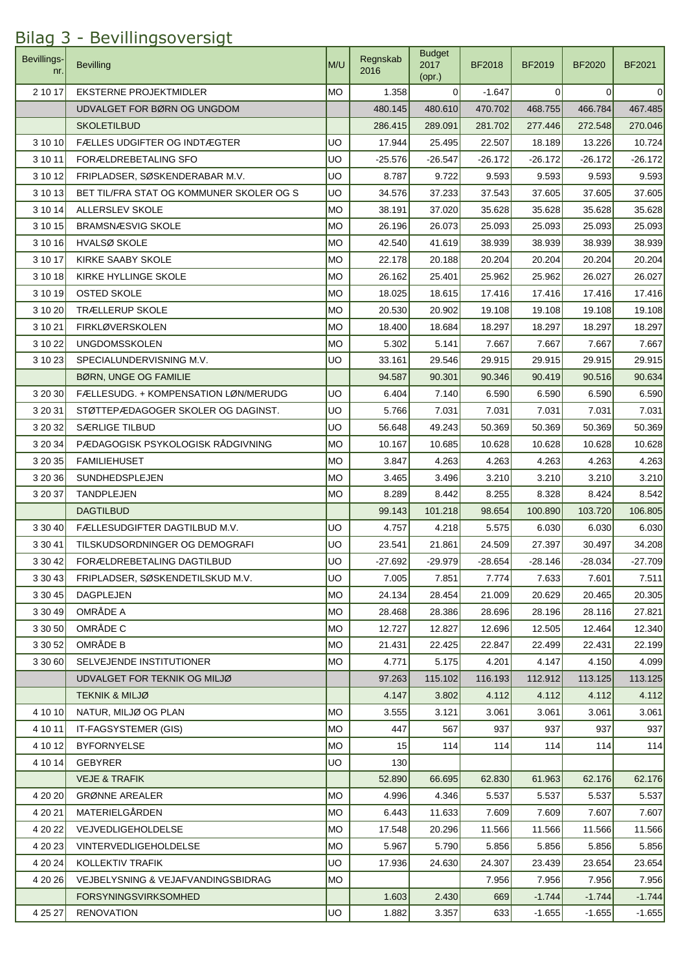## **Bevillings** nr. Bevilling M/U Regnskab (M/U Regnskab M/U Regnskab M/U Regnskab M/U Regnskab M/U Regnskab M/U  $\sim$ 2016 Budget 2017 (opr.) BF2018 BF2019 BF2020 BF2021 2 10 17 EKSTERNE PROJEKTMIDLER MO 1.358 0 -1.647 0 0 0 0 UDVALGET FOR BØRN OG UNGDOM 480.145 480.610 470.702 468.755 466.784 467.485 SKOLETILBUD 286.415 289.091 281.702 277.446 272.548 270.046 3 10 10 FÆLLES UDGIFTER OG INDTÆGTER UDGIFTER 10.724 UDGIFTER 25.495 22.507 18.189 13.226 10.724 3 10 11 FORÆLDREBETALING SFO UO -25.576 -26.547 -26.172 -26.172 -26.172 -26.172 3 10 12 FRIPLADSER, SØSKENDERABAR M.V. UO 8.787 9.722 9.593 9.593 9.593 9.593 3 10 13 BET TIL/FRA STAT OG KOMMUNER SKOLER OG S UO | 34.576 37.233 37.543 37.605 37.605 37.605 37.605 3 10 14 ALLERSLEV SKOLE MO 38.191 37.020 35.628 35.628 35.628 35.628 3 10 15 BRAMSNÆSVIG SKOLE MO 26.196 26.073 25.093 25.093 25.093 25.093 3 10 16 HVALSØ SKOLE MO 42.540 41.619 38.939 38.939 38.939 38.939 3 10 17 KIRKE SAABY SKOLE MO 22.178 20.188 20.204 20.204 20.204 20.204 3 10 18 KIRKE HYLLINGE SKOLE MO 26.162 26.162 25.401 25.962 25.962 26.027 26.027 3 10 19 OSTED SKOLE MO 18.025 18.615 17.416 17.416 17.416 17.416 3 10 20 TRÆLLERUP SKOLE MO 20.530 20.902 19.108 19.108 19.108 19.108 19.108 19.108 3 10 21 FIRKLØVERSKOLEN MO 18.400 18.684 18.297 18.297 18.297 18.297 3 10 22 UNGDOMSSKOLEN MO 5.302 5.141 7.667 7.667 7.667 7.667 3 10 23 SPECIALUNDERVISNING M.V. UO 33.161 29.546 29.915 29.915 29.915 29.915 BØRN, UNGE OG FAMILIE 94.587 90.301 90.346 90.419 90.516 90.634 3 20 30 FÆLLESUDG. + KOMPENSATION LØN/MERUDG UO 6.404 7.140 6.590 6.590 6.590 6.590 3 20 31 STØTTEPÆDAGOGER SKOLER OG DAGINST. UO 5.766 7.031 7.031 7.031 7.031 7.031 3 20 32 SÆRLIGE TILBUD UO 56.648 49.243 50.369 50.369 50.369 50.369 3 20 34 PÆDAGOGISK PSYKOLOGISK RÅDGIVNING MO 10.167 10.685 10.628 10.628 10.628 10.628 10.628 3 20 35 FAMILIEHUSET MO 3.847 4.263 4.263 4.263 4.263 4.263 3 20 36 SUNDHEDSPLEJEN MO | 3.465 3.496 3.210 3.210 3.210 3.210 3.210 3 20 37 TANDPLEJEN MO 8.289 8.442 8.255 8.328 8.424 8.542 DAGTILBUD 99.143 101.218 98.654 100.890 103.720 106.805 3 30 40 FÆLLESUDGIFTER DAGTILBUD M.V. UO 4.757 4.218 5.575 6.030 6.030 6.030 3 30 41 TILSKUDSORDNINGER OG DEMOGRAFI UO 23.541 21.861 24.509 27.397 30.497 34.208 3 30 42 FORÆLDREBETALING DAGTILBUD  $\vert$ UO  $\vert$  -27.692 -29.979 -28.654 -28.146 -28.034 -27.709 3 30 43 FRIPLADSER, SØSKENDETILSKUD M.V. UO 7.005 7.851 7.774 7.633 7.601 7.511 3 30 45 DAGPLEJEN MO 24.134 28.454 21.009 20.629 20.465 20.305 3 30 49 OMRÅDE A MO 28.468 28.468 28.386 28.596 28.196 28.116 27.821 3 30 50 OMRÅDE C MO 12.727 12.827 12.696 12.505 12.464 12.340 3 30 52 OMRÅDE B MO 22.425 22.425 22.425 22.4425 22.499 22.431 22.199 3 30 60 SELVEJENDE INSTITUTIONER MO MO 4.771 5.175 4.201 4.147 4.150 4.099 UDVALGET FOR TEKNIK OG MILJØ **113.125 116.102 116.102 116.193** 112.912 113.125 113.125 TEKNIK & MILJØ 4.147 3.802 4.112 4.112 4.112 4.112 4 10 10 NATUR, MILJØ OG PLAN MO NEW SALLEY MO NEW SALLEY SALLEY SALLEY SALLEY SALLEY SALLEY SALLEY SALLEY SALL 4 10 11 IT-FAGSYSTEMER (GIS) MO 447 567 937 937 937 937 4 10 12 BYFORNYELSE MO 15 114 114 114 114 114 4 10 14 GEBYRER 130 VEJE & TRAFIK 62.176 62.000 1 0 4 52.890 66.695 62.830 62.830 62.176 62.176 62.177 4 20 20 GRØNNE AREALER MO 3.537 6.537 5.537 5.537 5.537 5.537 5.537 5.537 5.537 5.537 5.537 5.537 5.537 5.537 5.537 5.537 5.537 5.537 5.537 5.537 5.537 5.537 5.537 5.537 5.537 5.537 5.537 5.537 5.537 5.537 5.537 5.537 5.53 4 20 21 MATERIELGÅRDEN MO MO MO 6.443 11.633 7.609 7.609 7.607 7.607 7.607 4 20 22 VEJVEDLIGEHOLDELSE MO 17.548 20.296 11.566 11.566 11.566 11.566 4 20 23 VINTERVEDLIGEHOLDELSE MO MO 5.967 5.790 5.856 5.856 5.856 5.856 5.856 4 20 24 KOLLEKTIV TRAFIK **WE CONTENT ASSESSED ASSESSED AT A 24.630** 24.630 24.307 23.439 23.654 23.654 4 20 26 VEJBELYSNING & VEJAFVANDINGSBIDRAG MO MO 7.956 7.956 7.956 7.956 7.956 7.956 FORSYNINGSVIRKSOMHED 1.603 2.430 669 -1.744 -1.744 -1.744 4 25 27 RENOVATION UO 1.882 3.357 633 -1.655 -1.655 -1.655

## Bilag 3 - Bevillingsoversigt